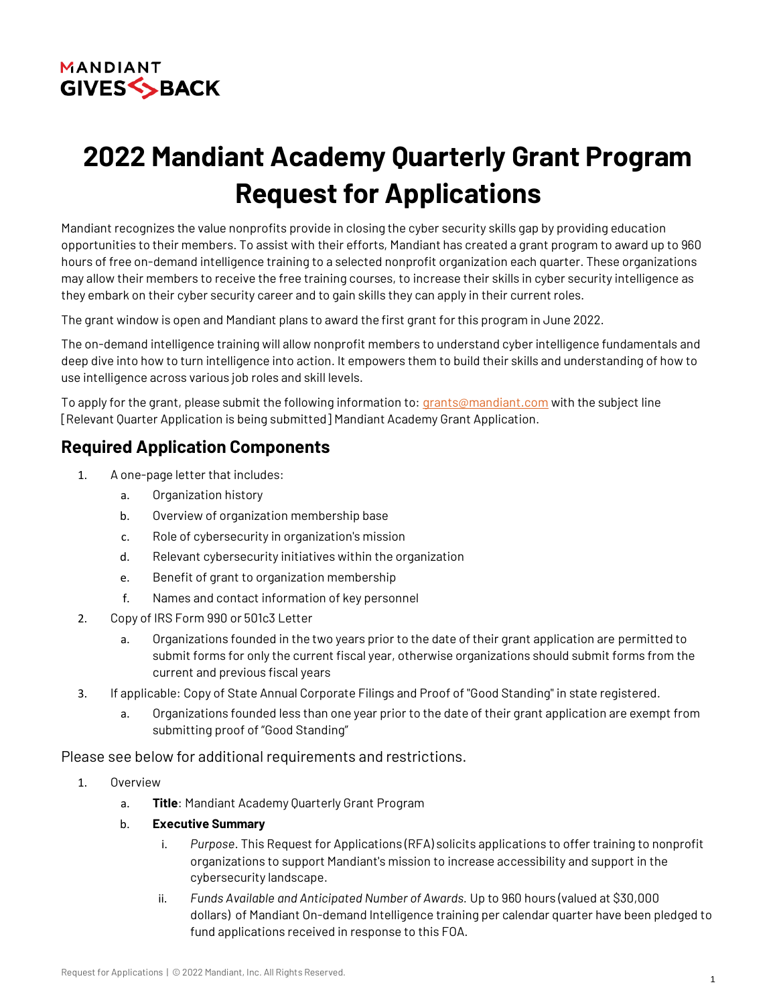

# **2022 Mandiant Academy Quarterly Grant Program Request for Applications**

Mandiant recognizes the value nonprofits provide in closing the cyber security skills gap by providing education opportunities to their members. To assist with their efforts, Mandiant has created a grant program to award up to 960 hours of free on-demand intelligence training to a selected nonprofit organization each quarter. These organizations may allow their members to receive the free training courses, to increase their skills in cyber security intelligence as they embark on their cyber security career and to gain skills they can apply in their current roles.

The grant window is open and Mandiant plans to award the first grant for this program in June 2022.

The on-demand intelligence training will allow nonprofit members to understand cyber intelligence fundamentals and deep dive into how to turn intelligence into action. It empowers them to build their skills and understanding of how to use intelligence across various job roles and skill levels.

To apply for the grant, please submit the following information to: [grants@mandiant.com](mailto:grants@mandiant.com) with the subject line [Relevant Quarter Application is being submitted] Mandiant Academy Grant Application.

# **Required Application Components**

- 1. A one-page letter that includes:
	- a. Organization history
	- b. Overview of organization membership base
	- c. Role of cybersecurity in organization's mission
	- d. Relevant cybersecurity initiatives within the organization
	- e. Benefit of grant to organization membership
	- f. Names and contact information of key personnel
- 2. Copy of IRS Form 990 or 501c3 Letter
	- a. Organizations founded in the two years prior to the date of their grant application are permitted to submit forms for only the current fiscal year, otherwise organizations should submit forms from the current and previous fiscal years
- 3. If applicable: Copy of State Annual Corporate Filings and Proof of "Good Standing" in state registered.
	- a. Organizations founded less than one year prior to the date of their grant application are exempt from submitting proof of "Good Standing"

Please see below for additional requirements and restrictions.

- 1. Overview
	- a. **Title**: Mandiant Academy Quarterly Grant Program
	- b. **Executive Summary**
		- i. *Purpose*. This Request for Applications (RFA) solicits applications to offer training to nonprofit organizations to support Mandiant's mission to increase accessibility and support in the cybersecurity landscape.
		- ii. *Funds Available and Anticipated Number of Awards.* Up to 960 hours (valued at \$30,000 dollars) of Mandiant On-demand Intelligence training per calendar quarter have been pledged to fund applications received in response to this FOA.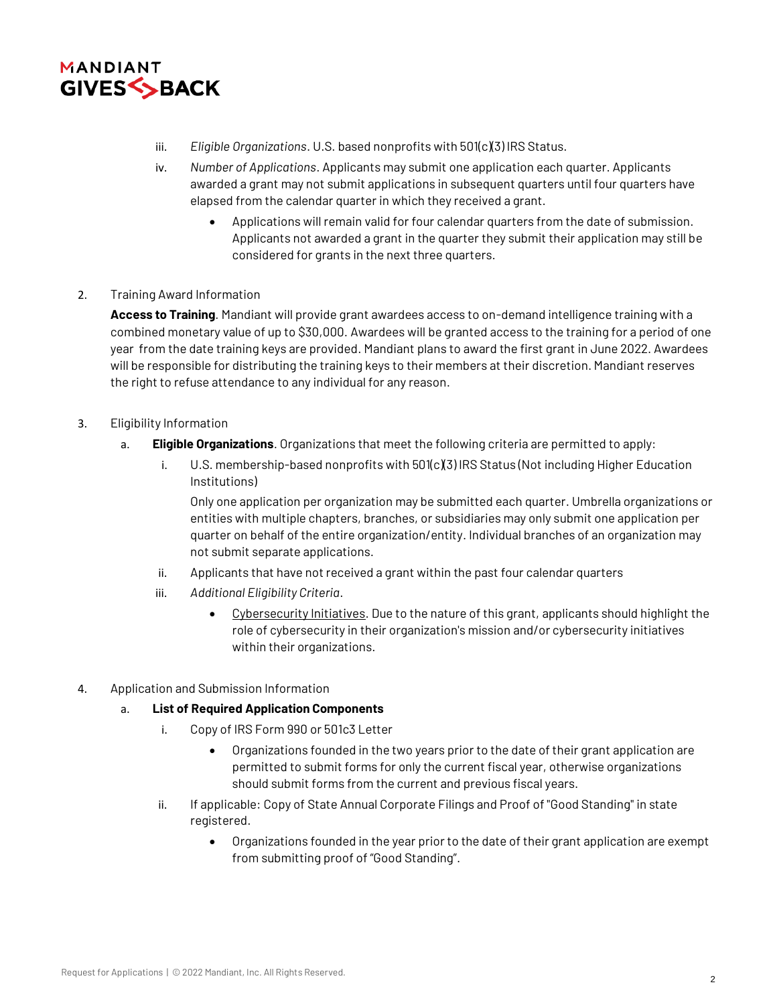

- iii. *Eligible Organizations*. U.S. based nonprofits with 501(c)(3) IRS Status.
- iv. *Number of Applications*. Applicants may submit one application each quarter. Applicants awarded a grant may not submit applications in subsequent quarters until four quarters have elapsed from the calendar quarter in which they received a grant.
	- Applications will remain valid for four calendar quarters from the date of submission. Applicants not awarded a grant in the quarter they submit their application may still be considered for grants in the next three quarters.

# 2. Training Award Information

**Access to Training***.* Mandiant will provide grant awardees access to on-demand intelligence training with a combined monetary value of up to \$30,000. Awardees will be granted access to the training for a period of one year from the date training keys are provided. Mandiant plans to award the first grant in June 2022. Awardees will be responsible for distributing the training keys to their members at their discretion. Mandiant reserves the right to refuse attendance to any individual for any reason.

# 3. Eligibility Information

- a. **Eligible Organizations**. Organizations that meet the following criteria are permitted to apply:
	- i. U.S. membership-based nonprofits with  $501(c)(3)$  IRS Status (Not including Higher Education Institutions)

Only one application per organization may be submitted each quarter. Umbrella organizations or entities with multiple chapters, branches, or subsidiaries may only submit one application per quarter on behalf of the entire organization/entity. Individual branches of an organization may not submit separate applications.

- ii. Applicants that have not received a grant within the past four calendar quarters
- iii. *Additional Eligibility Criteria*.
	- Cybersecurity Initiatives. Due to the nature of this grant, applicants should highlight the role of cybersecurity in their organization's mission and/or cybersecurity initiatives within their organizations.
- 4. Application and Submission Information

# a. **List of Required Application Components**

- i. Copy of IRS Form 990 or 501c3 Letter
	- Organizations founded in the two years prior to the date of their grant application are permitted to submit forms for only the current fiscal year, otherwise organizations should submit forms from the current and previous fiscal years.
- ii. If applicable: Copy of State Annual Corporate Filings and Proof of "Good Standing" in state registered.
	- Organizations founded in the year prior to the date of their grant application are exempt from submitting proof of "Good Standing".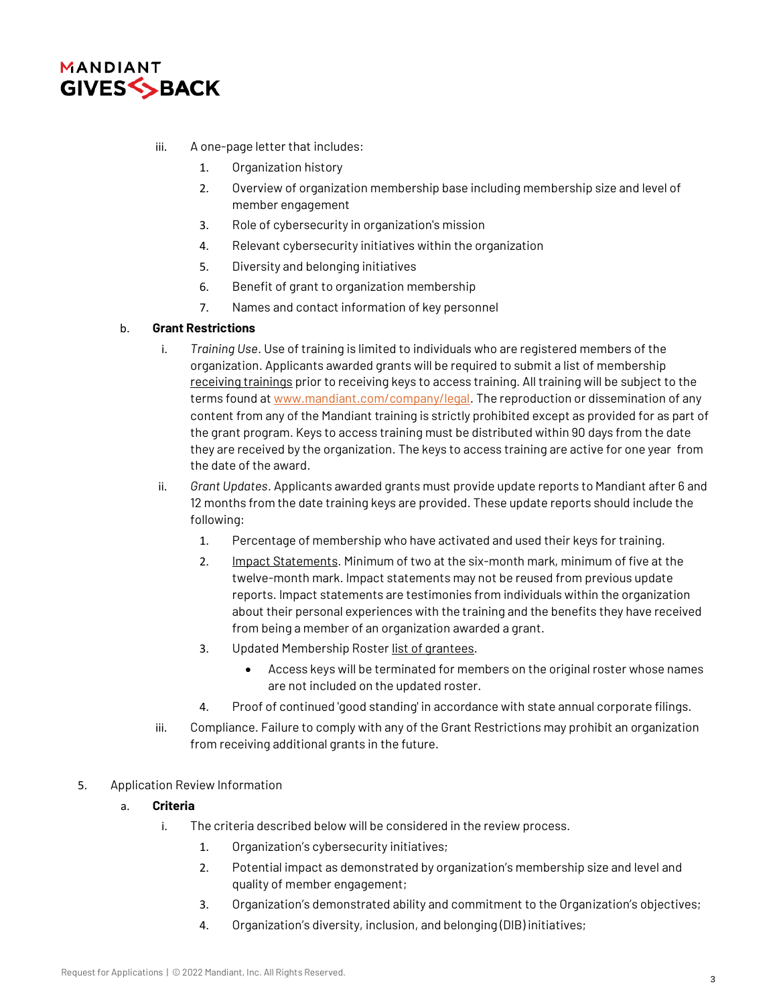

- iii. A one-page letter that includes:
	- 1. Organization history
	- 2. Overview of organization membership base including membership size and level of member engagement
	- 3. Role of cybersecurity in organization's mission
	- 4. Relevant cybersecurity initiatives within the organization
	- 5. Diversity and belonging initiatives
	- 6. Benefit of grant to organization membership
	- 7. Names and contact information of key personnel

# b. **Grant Restrictions**

- i. *Training Use*. Use of training is limited to individuals who are registered members of the organization. Applicants awarded grants will be required to submit a list of membership receiving trainings prior to receiving keys to access training. All training will be subject to the terms found a[t www.mandiant.com/company/legal.](http://www.mandiant.com/company/legal) The reproduction or dissemination of any content from any of the Mandiant training is strictly prohibited except as provided for as part of the grant program. Keys to access training must be distributed within 90 days from the date they are received by the organization. The keys to access training are active for one year from the date of the award.
- ii. *Grant Updates*. Applicants awarded grants must provide update reports to Mandiant after 6 and 12 months from the date training keys are provided. These update reports should include the following:
	- 1. Percentage of membership who have activated and used their keys for training.
	- 2. Impact Statements. Minimum of two at the six-month mark, minimum of five at the twelve-month mark. Impact statements may not be reused from previous update reports. Impact statements are testimonies from individuals within the organization about their personal experiences with the training and the benefits they have received from being a member of an organization awarded a grant.
	- 3. Updated Membership Roster list of grantees.
		- Access keys will be terminated for members on the original roster whose names are not included on the updated roster.
	- 4. Proof of continued 'good standing' in accordance with state annual corporate filings.
- iii. Compliance. Failure to comply with any of the Grant Restrictions may prohibit an organization from receiving additional grants in the future.
- 5. Application Review Information
	- a. **Criteria**
		- i. The criteria described below will be considered in the review process.
			- 1. Organization's cybersecurity initiatives;
			- 2. Potential impact as demonstrated by organization's membership size and level and quality of member engagement;
			- 3. Organization's demonstrated ability and commitment to the Organization's objectives;
			- 4. Organization's diversity, inclusion, and belonging (DIB) initiatives;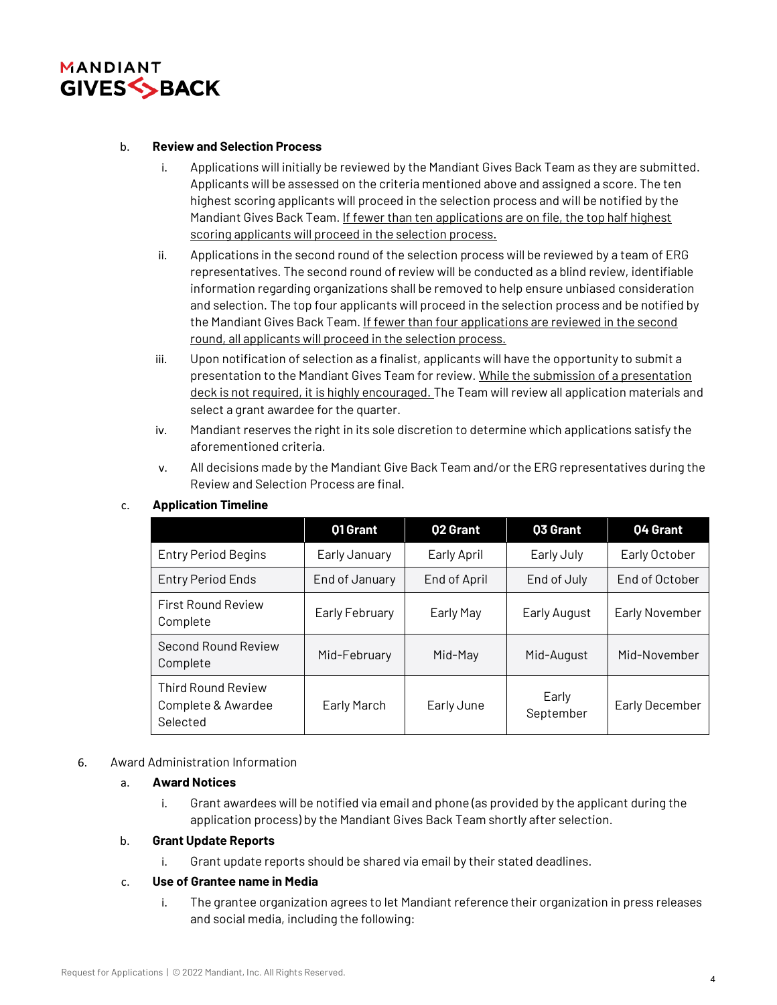

### b. **Review and Selection Process**

- i. Applications will initially be reviewed by the Mandiant Gives Back Team as they are submitted. Applicants will be assessed on the criteria mentioned above and assigned a score. The ten highest scoring applicants will proceed in the selection process and will be notified by the Mandiant Gives Back Team. If fewer than ten applications are on file, the top half highest scoring applicants will proceed in the selection process.
- ii. Applications in the second round of the selection process will be reviewed by a team of ERG representatives. The second round of review will be conducted as a blind review, identifiable information regarding organizations shall be removed to help ensure unbiased consideration and selection. The top four applicants will proceed in the selection process and be notified by the Mandiant Gives Back Team. If fewer than four applications are reviewed in the second round, all applicants will proceed in the selection process.
- iii. Upon notification of selection as a finalist, applicants will have the opportunity to submit a presentation to the Mandiant Gives Team for review. While the submission of a presentation deck is not required, it is highly encouraged. The Team will review all application materials and select a grant awardee for the quarter.
- iv. Mandiant reserves the right in its sole discretion to determine which applications satisfy the aforementioned criteria.
- v. All decisions made by the Mandiant Give Back Team and/or the ERG representatives during the Review and Selection Process are final.

|                                                             | 01 Grant       | <b>Q2 Grant</b> | <b>03 Grant</b>    | 04 Grant       |
|-------------------------------------------------------------|----------------|-----------------|--------------------|----------------|
| <b>Entry Period Begins</b>                                  | Early January  | Early April     | Early July         | Early October  |
| <b>Entry Period Ends</b>                                    | End of January | End of April    | End of July        | End of October |
| <b>First Round Review</b><br>Complete                       | Early February | Early May       | Early August       | Early November |
| Second Round Review<br>Complete                             | Mid-February   | Mid-May         | Mid-August         | Mid-November   |
| <b>Third Round Review</b><br>Complete & Awardee<br>Selected | Early March    | Early June      | Early<br>September | Early December |

#### c. **Application Timeline**

#### 6. Award Administration Information

# a. **Award Notices**

i. Grant awardees will be notified via email and phone (as provided by the applicant during the application process) by the Mandiant Gives Back Team shortly after selection.

#### b. **Grant Update Reports**

i. Grant update reports should be shared via email by their stated deadlines.

#### c. **Use of Grantee name in Media**

i. The grantee organization agrees to let Mandiant reference their organization in press releases and social media, including the following: